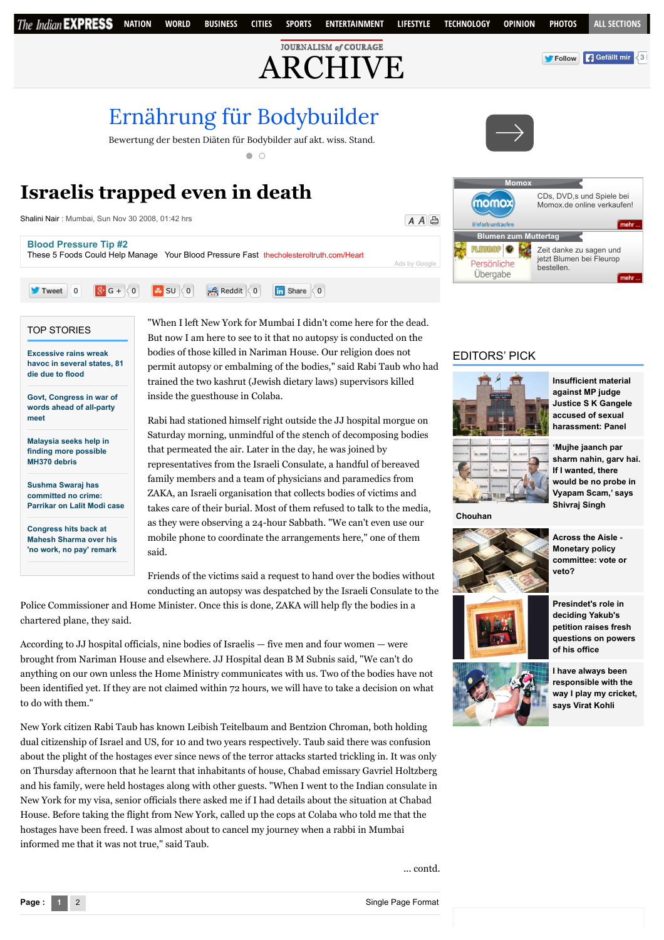

# **Israelis trapped even in death**

[Shalini Nair](http://archive.indianexpress.com/columnist/shalininair/) : Mumbai, Sun Nov 30 2008, 01:42 hrs

 $A \overline{A}$ 

[Ads by Google](https://www.google.com/url?ct=abg&q=https://www.google.com/adsense/support/bin/request.py%3Fcontact%3Dabg_afc%26url%3Dhttp://archive.indianexpress.com/news/israelis-trapped-even-in-death/392296/%26gl%3DDE%26hl%3Den%26client%3Dca-pub-9517772455344405%26ai0%3DCcLWcV6G_VZWvEYGwYOKno1iq_KGjBuKYudSPAsCNtwEQASCCndYMYJW6roK0B6AByvva-QPIAQGpAlYcNN-0Jbo-qAMBqgS2AU_QV4pa9fQvld0xychUbD6LDr8zng8R1fXKsGnTgCGSmsaYjrnZv2W4wv0crhrqptuxC1HbeajYcnw08FxhnnmrVkVi9E2vvHQz1i45Z1Z41YmNHDwriNOBkRbwbyqV9RHqqLa-gQUG0tdB6ED5QmcPetTq_AI-3U36ZmnH4y_MNmBeKwJSo_pJtjGkC9Q_6RBNdDI6e_YxdPHjIUUOh9zcLQZVxSr3fHWnAUPVL5l3RYPh1hEXiAYBgAeehKUGqAemvhvYBwE&usg=AFQjCNFwkPLa6_S6kpfI-OF094H2-Xf13g)

These 5 Foods Could Help Manage Your Blood Pressure Fast [thecholesteroltruth.com/Heart](http://www.googleadservices.com/pagead/aclk?sa=L&ai=CcLWcV6G_VZWvEYGwYOKno1iq_KGjBuKYudSPAsCNtwEQASCCndYMYJW6roK0B6AByvva-QPIAQGpAlYcNN-0Jbo-qAMBqgS2AU_QV4pa9fQvld0xychUbD6LDr8zng8R1fXKsGnTgCGSmsaYjrnZv2W4wv0crhrqptuxC1HbeajYcnw08FxhnnmrVkVi9E2vvHQz1i45Z1Z41YmNHDwriNOBkRbwbyqV9RHqqLa-gQUG0tdB6ED5QmcPetTq_AI-3U36ZmnH4y_MNmBeKwJSo_pJtjGkC9Q_6RBNdDI6e_YxdPHjIUUOh9zcLQZVxSr3fHWnAUPVL5l3RYPh1hEXiAYBgAeehKUGqAemvhvYBwE&num=1&cid=5GgrME2JdFtK3AVJpiDPTKDE&sig=AOD64_2ai_qZvqGt5NsQm_VkSOY2-gCWHw&client=ca-pub-9517772455344405&adurl=http://www.thecholesteroltruth.com/ppc/blood-pressure/0115.html)



#### TOP STORIES

**Excessive rains wreak [havoc in several states, 81](http://indianexpress.com/article/india/india-others/excessive-rains-wreak-havoc-in-several-states-81-die-due-to-flood/) die due to flood**

**[Blood Pressure Tip #2](http://www.googleadservices.com/pagead/aclk?sa=L&ai=CcLWcV6G_VZWvEYGwYOKno1iq_KGjBuKYudSPAsCNtwEQASCCndYMYJW6roK0B6AByvva-QPIAQGpAlYcNN-0Jbo-qAMBqgS2AU_QV4pa9fQvld0xychUbD6LDr8zng8R1fXKsGnTgCGSmsaYjrnZv2W4wv0crhrqptuxC1HbeajYcnw08FxhnnmrVkVi9E2vvHQz1i45Z1Z41YmNHDwriNOBkRbwbyqV9RHqqLa-gQUG0tdB6ED5QmcPetTq_AI-3U36ZmnH4y_MNmBeKwJSo_pJtjGkC9Q_6RBNdDI6e_YxdPHjIUUOh9zcLQZVxSr3fHWnAUPVL5l3RYPh1hEXiAYBgAeehKUGqAemvhvYBwE&num=1&cid=5GgrME2JdFtK3AVJpiDPTKDE&sig=AOD64_2ai_qZvqGt5NsQm_VkSOY2-gCWHw&client=ca-pub-9517772455344405&adurl=http://www.thecholesteroltruth.com/ppc/blood-pressure/0115.html)**

**[Govt, Congress in war of](http://indianexpress.com/article/india/india-others/honourable-exit-for-congress-is-to-have-a-debate-in-house-bjp/) words ahead of all-party meet**

**[Malaysia seeks help in](http://indianexpress.com/article/world/world-others/malaysia-seeks-help-in-finding-more-possible-mh370-debris/) finding more possible MH370 debris**

**Sushma Swaraj has committed no crime: [Parrikar on Lalit Modi case](http://indianexpress.com/article/india/india-others/sushma-swaraj-has-made-no-crime-parrikar-on-lalit-modi-case/)**

**Congress hits back at [Mahesh Sharma over his](http://indianexpress.com/article/india/india-others/congress-hits-back-at-union-minister-mahesh-sharma-over-his-no-work-no-pay-remark/) 'no work, no pay' remark**

"When I left New York for Mumbai I didn't come here for the dead. But now I am here to see to it that no autopsy is conducted on the bodies of those killed in Nariman House. Our religion does not permit autopsy or embalming of the bodies," said Rabi Taub who had trained the two kashrut (Jewish dietary laws) supervisors killed inside the guesthouse in Colaba.

Rabi had stationed himself right outside the JJ hospital morgue on Saturday morning, unmindful of the stench of decomposing bodies that permeated the air. Later in the day, he was joined by representatives from the Israeli Consulate, a handful of bereaved family members and a team of physicians and paramedics from ZAKA, an Israeli organisation that collects bodies of victims and takes care of their burial. Most of them refused to talk to the media, as they were observing a 24-hour Sabbath. "We can't even use our mobile phone to coordinate the arrangements here," one of them said.

Friends of the victims said a request to hand over the bodies without conducting an autopsy was despatched by the Israeli Consulate to the

Police Commissioner and Home Minister. Once this is done, ZAKA will help fly the bodies in a chartered plane, they said.

According to JJ hospital officials, nine bodies of Israelis — five men and four women — were brought from Nariman House and elsewhere. JJ Hospital dean B M Subnis said, "We can't do anything on our own unless the Home Ministry communicates with us. Two of the bodies have not been identified yet. If they are not claimed within 72 hours, we will have to take a decision on what to do with them."

New York citizen Rabi Taub has known Leibish Teitelbaum and Bentzion Chroman, both holding dual citizenship of Israel and US, for 10 and two years respectively. Taub said there was confusion about the plight of the hostages ever since news of the terror attacks started trickling in. It was only on Thursday afternoon that he learnt that inhabitants of house, Chabad emissary Gavriel Holtzberg and his family, were held hostages along with other guests. "When I went to the Indian consulate in New York for my visa, senior officials there asked me if I had details about the situation at Chabad House. Before taking the flight from New York, called up the cops at Colaba who told me that the hostages have been freed. I was almost about to cancel my journey when a rabbi in Mumbai informed me that it was not true," said Taub.



## EDITORS' PICK



**Insufficient material against MP judge [Justice S K Gangele](http://indianexpress.com/article/india/india-others/insufficient-material-against-mp-judge-justice-s-k-gangele-accused-of-sexual-harassment-panel/) accused of sexual harassment: Panel**

**FILL** 

**'Mujhe jaanch par [sharm nahin, garv hai.](http://indianexpress.com/article/india/india-others/mujhe-jaanch-par-sharm-nahin-garv-hai-if-i-wanted-there-would-be-no-probe-says-shivraj-singh-chouhan/) If I wanted, there would be no probe in Vyapam Scam,' says Shivraj Singh**

**Chouhan**



**Across the Aisle - Monetary policy [committee: vote or](http://indianexpress.com/article/opinion/columns/monetary-policy-committee-vote-or-veto/) veto?**



**Presindet's role in deciding Yakub's petition raises fresh [questions on powers](http://indianexpress.com/article/india/india-others/sunday-story-changing-picture/) of his office**



**I have always been responsible with the [way I play my cricket,](http://indianexpress.com/article/sports/cricket/i-have-always-been-responsible-with-the-way-i-play-my-cricket-says-virat-kohli/) says Virat Kohli**

... contd.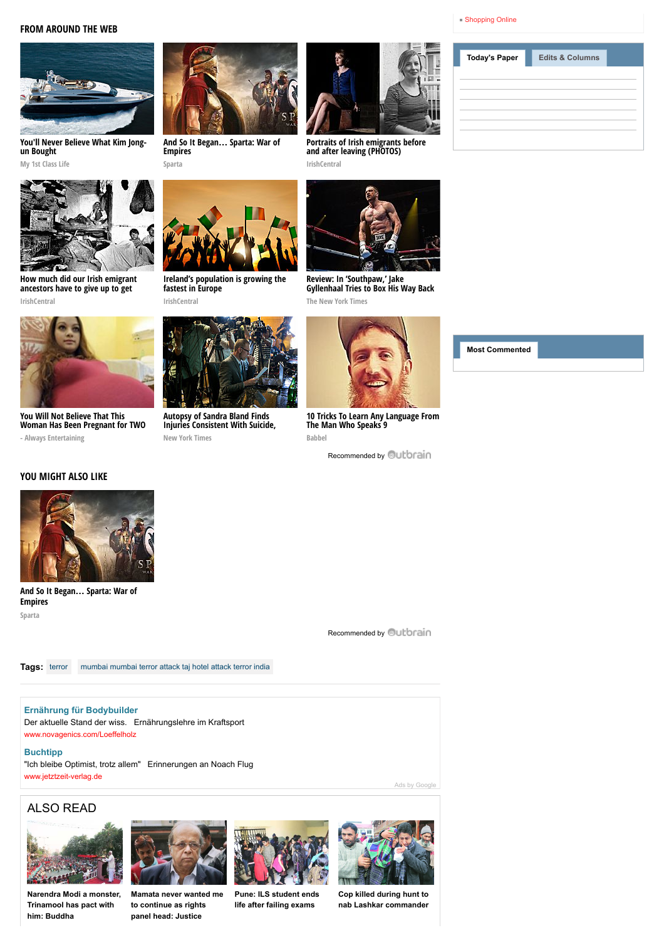## **FROM AROUND THE WEB**



**[You'll Never Believe What Kim Jong](http://myfirstclasslife.com/8-of-kim-jong-uns-most-ridiculous-splurges/?utm_source=ob-00d4039beac0f3fb85d7af215bcd0ff942&utm_medium=outbrain&utm_campaign=na)un Bought**

**My 1st Class Life**



**[How much did our Irish emigrant](http://www.irishcentral.com/roots/ancestry/How-much-did-our-Irish-emigrant-ancestors-have-to-give-up-to-get-ahead-PHOTOS.html) ancestors have to give up to get**



**You Will Not Believe That This [Woman Has Been Pregnant for TWO](http://www.wplol.us/you-will-not-believe-that-this-woman-has-been-pregnant-for-two-years/)**



**[And So It Began](http://plarium.com/en/strategy-games/sparta-war-of-empires/?plid=67283&pxl=outbrain&publisherid=SP_EN_ROW_New_Pool_Test)… Sparta: War of Empires Sparta**

**[Ireland's population is growing the](http://www.irishcentral.com/news/Irelands-population-is-growing-the-fastest-in-Europe.html?utm_source=outbrain&utm_medium=content&utm_campaign=paid)**

**fastest in Europe IrishCentral**



**[Portraits of Irish emigrants before](http://www.irishcentral.com/culture/entertainment/Portraits-of-Irish-immigrants-before-and-after-leaving-PHOTOS.html) and after leaving (PHOTOS) IrishCentral**



**Review: In 'Southpaw,' Jake [Gyllenhaal Tries to Box His Way Back](http://www.nytimes.com/2015/07/24/movies/review-in-southpaw-jake-gyllenhaal-tries-to-box-his-way-back-from-tragedy.html?WT.mc_id=2015-AUGUST-OTB-INTL_AUD_DEV-0801-0831&WT.mc_ev=click&ad-keywords=IntlAudDev) From Tragedy The New York Times**



**[10 Tricks To Learn Any Language From](http://www.babbel.com/en/magazine/10-tips-from-an-expert?slc=engmag-a1-vid-bv1-tipsandtricks-ob&utm_source=outbrain&utm_medium=cpc&utm_campaign=cd_engall_gen_cde_bv1_polyglot) The Man Who Speaks 9 Babbel**

[Recommended by](http://archive.indianexpress.com/news/israelis-trapped-even-in-death/392296/#) **Quitbrain** 

**[Today's Paper](javascript:void(0)) [Edits & Columns](javascript:void(0))**

[Shopping Online](http://www.shoppinglevel.co.uk/)

**[Most Commented](javascript:void(0))**





**New York Times** 

**- Always Entertaining** 

# **YOU MIGHT ALSO LIKE**



**[And So It Began](http://plarium.com/en/strategy-games/sparta-war-of-empires/?plid=67283&pxl=outbrain&publisherid=SP_EN_ROW_New_Pool_Test)… Sparta: War of Empires Sparta**

[Recommended by](http://archive.indianexpress.com/news/israelis-trapped-even-in-death/392296/#) **Outbrain** 

**Tags:** [terror](http://archive.indianexpress.com/gsearch.php?q=terror) [mumbai mumbai terror attack taj hotel attack terror india](http://archive.indianexpress.com/gsearch.php?q=%20mumbaimumbai%20terror%20attacktaj%20hotel%20attackterror%20india)

# **[Ernährung für Bodybuilder](http://www.googleadservices.com/pagead/aclk?sa=L&ai=C8LzwV6G_VbDZIMmnYsXThKgGjJ_IxgaM9ZzB_gHAjbcBEAEggp3WDCgCYJW6roK0B6ABxIv82APIAQGpAtw4cQ9MabI-qAMBqgS3AU_Q5GzYn2e9PpbOf6dvQ0fBavykBqiNuES3ZqPVIvyux-08Cfo0syB6n1dmmBaHMCrfiHsc4AKPzABsGeEsbM7I7jn-5aaRHozzSjlODek7Bt86l7M2kuKCG6aSrQIrZzQd8lGGM30YqalBes2sCfjjNfrB_rG8VGRDlgroKl-jn2DdG4jU3Lyh_BTS-8YlzRuYRfcr2y7LvW16-biKKR4wlc_jbJQa8L4OywOvLGOxdf7i3G4HRogGAYAHpPSDJ6gHpr4b2AcB&num=1&cid=5GgA37wU3mKHf6B0Diwu0IMA&sig=AOD64_2wBixqab3ceo5hHWUgel4vRcPWdQ&client=ca-pub-9517772455344405&adurl=http://novagenics.com/de/buecher-ueber-kraftsport-ernaehrung)**

Der aktuelle Stand der wiss. Ernährungslehre im Kraftsport [www.novagenics.com/Loeffelholz](http://www.googleadservices.com/pagead/aclk?sa=L&ai=C8LzwV6G_VbDZIMmnYsXThKgGjJ_IxgaM9ZzB_gHAjbcBEAEggp3WDCgCYJW6roK0B6ABxIv82APIAQGpAtw4cQ9MabI-qAMBqgS3AU_Q5GzYn2e9PpbOf6dvQ0fBavykBqiNuES3ZqPVIvyux-08Cfo0syB6n1dmmBaHMCrfiHsc4AKPzABsGeEsbM7I7jn-5aaRHozzSjlODek7Bt86l7M2kuKCG6aSrQIrZzQd8lGGM30YqalBes2sCfjjNfrB_rG8VGRDlgroKl-jn2DdG4jU3Lyh_BTS-8YlzRuYRfcr2y7LvW16-biKKR4wlc_jbJQa8L4OywOvLGOxdf7i3G4HRogGAYAHpPSDJ6gHpr4b2AcB&num=1&cid=5GgA37wU3mKHf6B0Diwu0IMA&sig=AOD64_2wBixqab3ceo5hHWUgel4vRcPWdQ&client=ca-pub-9517772455344405&adurl=http://novagenics.com/de/buecher-ueber-kraftsport-ernaehrung)

### **[Buchtipp](http://googleads.g.doubleclick.net/aclk?sa=L&ai=C2m5eV6G_VbDZIMmnYsXThKgG2MmpyAio_ITj7QHAjbcBEAIggp3WDCgCYJW6roK0B8gBAakC3DhxD0xpsj6oAwGqBLQBT9D0PtufZL0-ls5_p29DR8Fq_KQGqI24RLdmo9Ui_K7H7TwJ-jSzIHqfV2aYFocwKt-IexzgAo_MAGwZ4SxszsjuOf7lppEejPNKOU4N6TsG3zqXszaS4oIbppKtAitnNB3yUYYzfRipqUF6zawJ-OM1-sH-sbxUZEOWCugqX6OfYN0bwNQN7VkfagtrvvtaJkZhQiifm8jZmXnZTIkpKzuV-uhIYF_USkvI8qwvh7e9sFoLgAeI279LqAemvhvYBwE&num=2&sig=AOD64_0DtYXEKPXi4Ufy4c2HSrRqh2lAAg&client=ca-pub-9517772455344405&adurl=http://www.jetztzeit-verlag.de)**

"Ich bleibe Optimist, trotz allem" Erinnerungen an Noach Flug [www.jetztzeit-verlag.de](http://googleads.g.doubleclick.net/aclk?sa=L&ai=C2m5eV6G_VbDZIMmnYsXThKgG2MmpyAio_ITj7QHAjbcBEAIggp3WDCgCYJW6roK0B8gBAakC3DhxD0xpsj6oAwGqBLQBT9D0PtufZL0-ls5_p29DR8Fq_KQGqI24RLdmo9Ui_K7H7TwJ-jSzIHqfV2aYFocwKt-IexzgAo_MAGwZ4SxszsjuOf7lppEejPNKOU4N6TsG3zqXszaS4oIbppKtAitnNB3yUYYzfRipqUF6zawJ-OM1-sH-sbxUZEOWCugqX6OfYN0bwNQN7VkfagtrvvtaJkZhQiifm8jZmXnZTIkpKzuV-uhIYF_USkvI8qwvh7e9sFoLgAeI279LqAemvhvYBwE&num=2&sig=AOD64_0DtYXEKPXi4Ufy4c2HSrRqh2lAAg&client=ca-pub-9517772455344405&adurl=http://www.jetztzeit-verlag.de)

## ALSO READ



**[Narendra Modi a monster,](http://archive.indianexpress.com/news/narendra-modi-a-monster-trinamool-has-pact-with-him-buddha/1217045/) Trinamool has pact with him: Buddha**



**[Mamata never wanted me](http://archive.indianexpress.com/news/mamata-never-wanted-me-to-continue-as-rights-panel-head-justice-ganguly/1217026/) to continue as rights panel head: Justice**



**[Pune: ILS student ends](http://archive.indianexpress.com/news/pune-ils-student-ends-life-after-failing-exams/1216715/) life after failing exams**



[Ads by Google](https://www.google.com/url?ct=abg&q=https://www.google.com/adsense/support/bin/request.py%3Fcontact%3Dabg_afc%26url%3Dhttp://archive.indianexpress.com/news/israelis-trapped-even-in-death/392296/%26gl%3DDE%26hl%3Den%26client%3Dca-pub-9517772455344405%26ai0%3DC8LzwV6G_VbDZIMmnYsXThKgGjJ_IxgaM9ZzB_gHAjbcBEAEggp3WDCgCYJW6roK0B6ABxIv82APIAQGpAtw4cQ9MabI-qAMBqgS3AU_Q5GzYn2e9PpbOf6dvQ0fBavykBqiNuES3ZqPVIvyux-08Cfo0syB6n1dmmBaHMCrfiHsc4AKPzABsGeEsbM7I7jn-5aaRHozzSjlODek7Bt86l7M2kuKCG6aSrQIrZzQd8lGGM30YqalBes2sCfjjNfrB_rG8VGRDlgroKl-jn2DdG4jU3Lyh_BTS-8YlzRuYRfcr2y7LvW16-biKKR4wlc_jbJQa8L4OywOvLGOxdf7i3G4HRogGAYAHpPSDJ6gHpr4b2AcB%26ai1%3DC2m5eV6G_VbDZIMmnYsXThKgG2MmpyAio_ITj7QHAjbcBEAIggp3WDCgCYJW6roK0B8gBAakC3DhxD0xpsj6oAwGqBLQBT9D0PtufZL0-ls5_p29DR8Fq_KQGqI24RLdmo9Ui_K7H7TwJ-jSzIHqfV2aYFocwKt-IexzgAo_MAGwZ4SxszsjuOf7lppEejPNKOU4N6TsG3zqXszaS4oIbppKtAitnNB3yUYYzfRipqUF6zawJ-OM1-sH-sbxUZEOWCugqX6OfYN0bwNQN7VkfagtrvvtaJkZhQiifm8jZmXnZTIkpKzuV-uhIYF_USkvI8qwvh7e9sFoLgAeI279LqAemvhvYBwE&usg=AFQjCNGpeLqx5xmN_lMCq_fEyHCsrA4Ukg)

**Cop killed during hunt to [nab Lashkar commander](http://archive.indianexpress.com/news/cop-killed-during-hunt-to-nab-lashkar-commander/1216712/)**